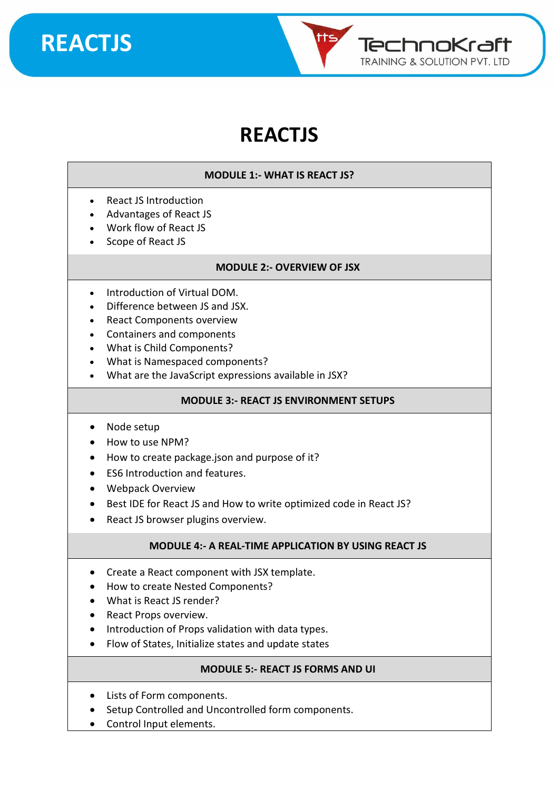

### **REACTJS**

#### **MODULE 1:- WHAT IS REACT JS?**

- React JS Introduction
- Advantages of React JS
- Work flow of React JS
- Scope of React JS

#### **MODULE 2:- OVERVIEW OF JSX**

- Introduction of Virtual DOM.
- Difference between JS and JSX.
- React Components overview
- Containers and components
- What is Child Components?
- What is Namespaced components?
- What are the JavaScript expressions available in JSX?

#### **MODULE 3:- REACT JS ENVIRONMENT SETUPS**

- Node setup
- How to use NPM?
- How to create package.json and purpose of it?
- ES6 Introduction and features.
- Webpack Overview
- Best IDE for React JS and How to write optimized code in React JS?
- React JS browser plugins overview.

#### **MODULE 4:- A REAL-TIME APPLICATION BY USING REACT JS**

- Create a React component with JSX template.
- How to create Nested Components?
- What is React JS render?
- React Props overview.
- Introduction of Props validation with data types.
- Flow of States, Initialize states and update states

#### **MODULE 5:- REACT JS FORMS AND UI**

- Lists of Form components.
- Setup Controlled and Uncontrolled form components.
- Control Input elements.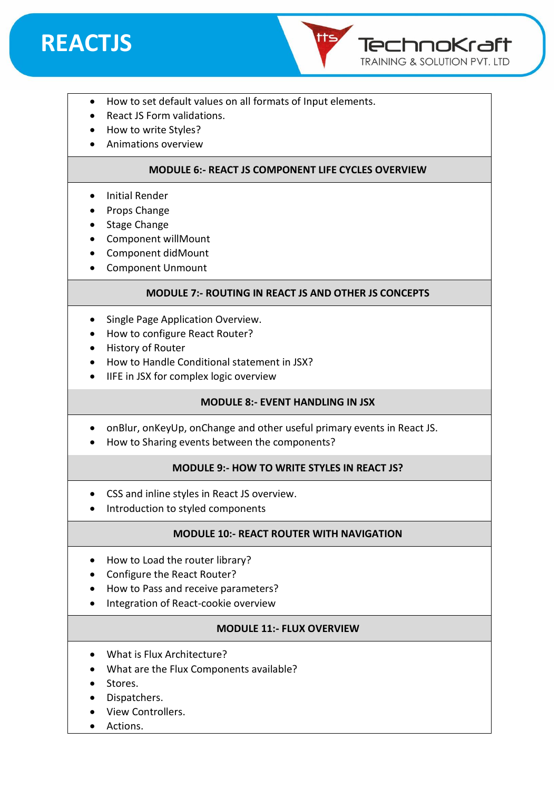



- How to set default values on all formats of Input elements.
- React JS Form validations.
- How to write Styles?
- Animations overview

#### **MODULE 6:- REACT JS COMPONENT LIFE CYCLES OVERVIEW**

- Initial Render
- Props Change
- Stage Change
- Component willMount
- Component didMount
- Component Unmount

#### **MODULE 7:- ROUTING IN REACT JS AND OTHER JS CONCEPTS**

- Single Page Application Overview.
- How to configure React Router?
- History of Router
- How to Handle Conditional statement in JSX?
- IIFE in JSX for complex logic overview

#### **MODULE 8:- EVENT HANDLING IN JSX**

- onBlur, onKeyUp, onChange and other useful primary events in React JS.
- How to Sharing events between the components?

#### **MODULE 9:- HOW TO WRITE STYLES IN REACT JS?**

- CSS and inline styles in React JS overview.
- Introduction to styled components

#### **MODULE 10:- REACT ROUTER WITH NAVIGATION**

- How to Load the router library?
- Configure the React Router?
- How to Pass and receive parameters?
- Integration of React-cookie overview

#### **MODULE 11:- FLUX OVERVIEW**

- What is Flux Architecture?
- What are the Flux Components available?
- Stores.
- Dispatchers.
- View Controllers.
- Actions.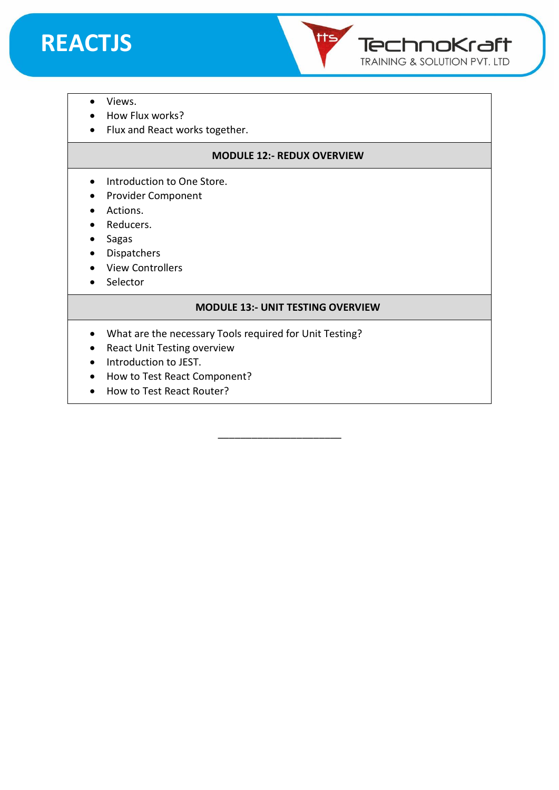



- Views.
- How Flux works?
- Flux and React works together.

#### **MODULE 12:- REDUX OVERVIEW**

- Introduction to One Store.
- Provider Component
- Actions.
- Reducers.
- Sagas
- Dispatchers
- View Controllers
- Selector

#### **MODULE 13:- UNIT TESTING OVERVIEW**

\_\_\_\_\_\_\_\_\_\_\_\_\_\_\_\_\_\_\_\_\_\_

- What are the necessary Tools required for Unit Testing?
- React Unit Testing overview
- Introduction to JEST.
- How to Test React Component?
- How to Test React Router?